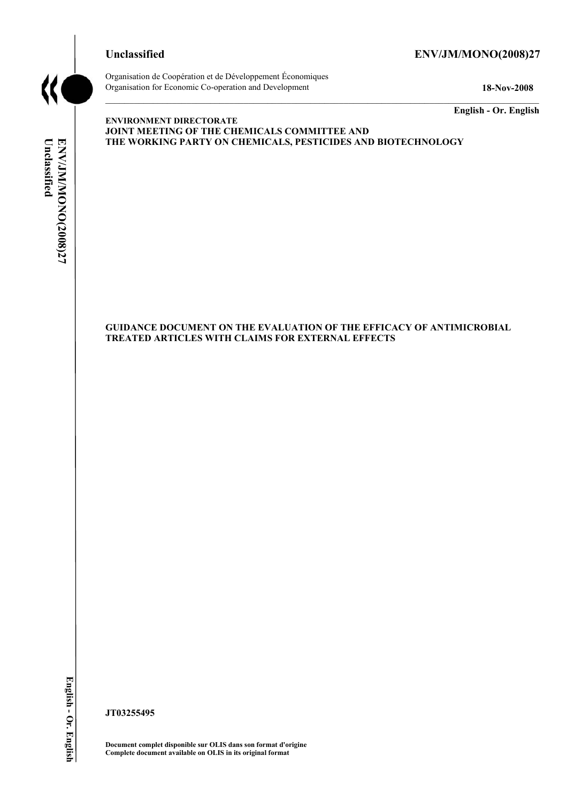

# **Unclassified ENV/JM/MONO(2008)27**



Organisation de Coopération et de Développement Économiques Organisation for Economic Co-operation and Development **18-Nov-2008** 

**English - Or. English** 

# Unclassified ENV/JMIMONO(2008)27 **Unclassified ENV/JM/MONO(2008)27 English - Or. English**

#### **ENVIRONMENT DIRECTORATE JOINT MEETING OF THE CHEMICALS COMMITTEE AND THE WORKING PARTY ON CHEMICALS, PESTICIDES AND BIOTECHNOLOGY**

**GUIDANCE DOCUMENT ON THE EVALUATION OF THE EFFICACY OF ANTIMICROBIAL TREATED ARTICLES WITH CLAIMS FOR EXTERNAL EFFECTS** 

**JT03255495** 

**Document complet disponible sur OLIS dans son format d'origine Complete document available on OLIS in its original format**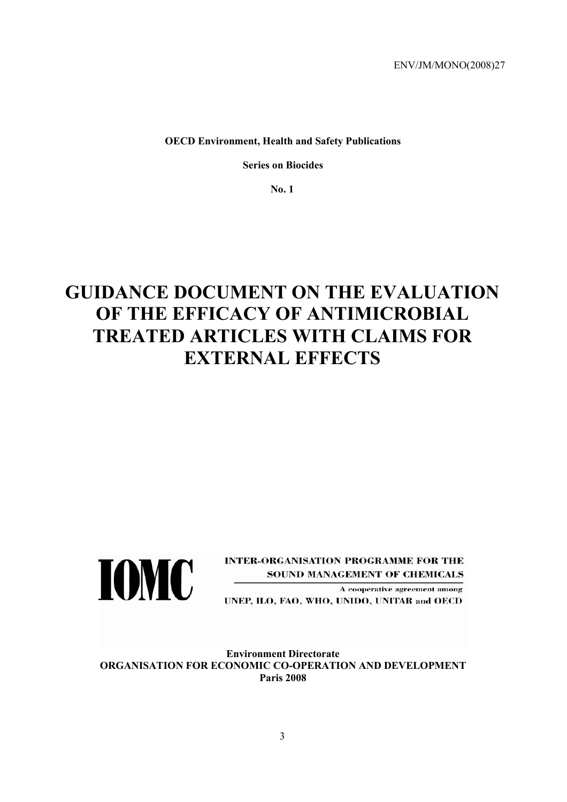**OECD Environment, Health and Safety Publications** 

**Series on Biocides** 

**No. 1** 

# **GUIDANCE DOCUMENT ON THE EVALUATION OF THE EFFICACY OF ANTIMICROBIAL TREATED ARTICLES WITH CLAIMS FOR EXTERNAL EFFECTS**



**INTER-ORGANISATION PROGRAMME FOR THE SOUND MANAGEMENT OF CHEMICALS** 

A cooperative agreement among UNEP, ILO, FAO, WHO, UNIDO, UNITAR and OECD

**Environment Directorate ORGANISATION FOR ECONOMIC CO-OPERATION AND DEVELOPMENT Paris 2008**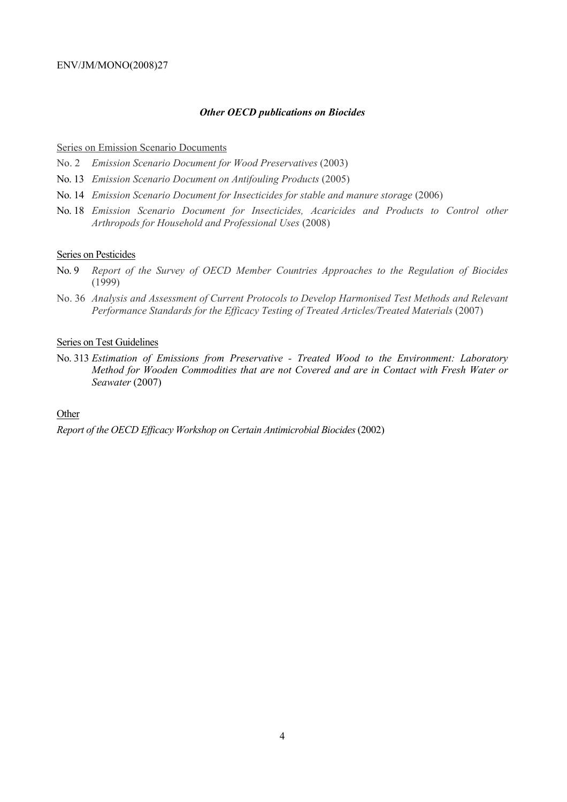#### *Other OECD publications on Biocides*

#### Series on Emission Scenario Documents

No. 2 *Emission Scenario Document for Wood Preservatives* (2003)

- No. 13 *Emission Scenario Document on Antifouling Products* (2005)
- No. 14 *Emission Scenario Document for Insecticides for stable and manure storage* (2006)
- No. 18 *Emission Scenario Document for Insecticides, Acaricides and Products to Control other Arthropods for Household and Professional Uses* (2008)

#### Series on Pesticides

- No. 9 *Report of the Survey of OECD Member Countries Approaches to the Regulation of Biocides* (1999)
- No. 36 *Analysis and Assessment of Current Protocols to Develop Harmonised Test Methods and Relevant Performance Standards for the Efficacy Testing of Treated Articles/Treated Materials* (2007)

#### Series on Test Guidelines

No. 313 *Estimation of Emissions from Preservative - Treated Wood to the Environment: Laboratory Method for Wooden Commodities that are not Covered and are in Contact with Fresh Water or Seawater* (2007)

#### **Other**

*Report of the OECD Efficacy Workshop on Certain Antimicrobial Biocides* (2002)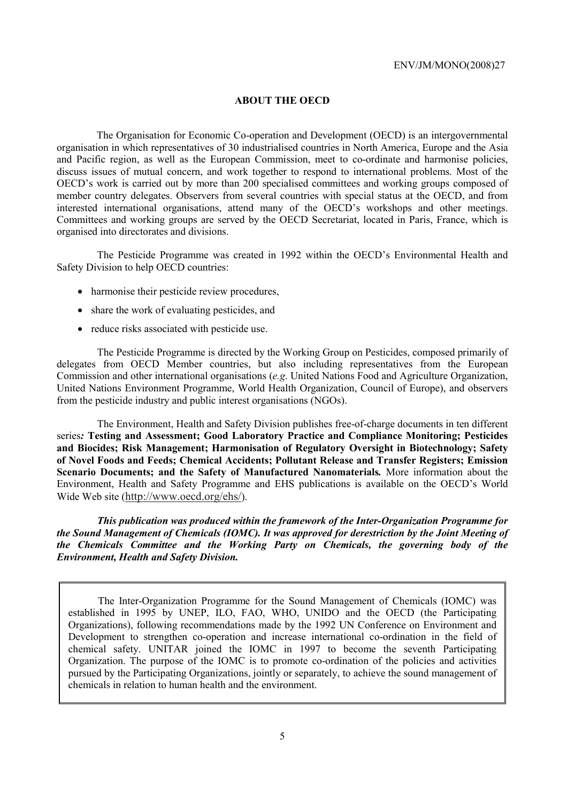## **ABOUT THE OECD**

The Organisation for Economic Co-operation and Development (OECD) is an intergovernmental organisation in which representatives of 30 industrialised countries in North America, Europe and the Asia and Pacific region, as well as the European Commission, meet to co-ordinate and harmonise policies, discuss issues of mutual concern, and work together to respond to international problems. Most of the OECD's work is carried out by more than 200 specialised committees and working groups composed of member country delegates. Observers from several countries with special status at the OECD, and from interested international organisations, attend many of the OECD's workshops and other meetings. Committees and working groups are served by the OECD Secretariat, located in Paris, France, which is organised into directorates and divisions.

 The Pesticide Programme was created in 1992 within the OECD's Environmental Health and Safety Division to help OECD countries:

- harmonise their pesticide review procedures,
- share the work of evaluating pesticides, and
- reduce risks associated with pesticide use.

 The Pesticide Programme is directed by the Working Group on Pesticides, composed primarily of delegates from OECD Member countries, but also including representatives from the European Commission and other international organisations (*e.g*. United Nations Food and Agriculture Organization, United Nations Environment Programme, World Health Organization, Council of Europe), and observers from the pesticide industry and public interest organisations (NGOs).

 The Environment, Health and Safety Division publishes free-of-charge documents in ten different series*:* **Testing and Assessment; Good Laboratory Practice and Compliance Monitoring; Pesticides and Biocides; Risk Management; Harmonisation of Regulatory Oversight in Biotechnology; Safety of Novel Foods and Feeds; Chemical Accidents; Pollutant Release and Transfer Registers; Emission Scenario Documents; and the Safety of Manufactured Nanomaterials***.* More information about the Environment, Health and Safety Programme and EHS publications is available on the OECD's World Wide Web site (http://www.oecd.org/ehs/).

 *This publication was produced within the framework of the Inter-Organization Programme for the Sound Management of Chemicals (IOMC). It was approved for derestriction by the Joint Meeting of the Chemicals Committee and the Working Party on Chemicals, the governing body of the Environment, Health and Safety Division.* 

The Inter-Organization Programme for the Sound Management of Chemicals (IOMC) was established in 1995 by UNEP, ILO, FAO, WHO, UNIDO and the OECD (the Participating Organizations), following recommendations made by the 1992 UN Conference on Environment and Development to strengthen co-operation and increase international co-ordination in the field of chemical safety. UNITAR joined the IOMC in 1997 to become the seventh Participating Organization. The purpose of the IOMC is to promote co-ordination of the policies and activities pursued by the Participating Organizations, jointly or separately, to achieve the sound management of chemicals in relation to human health and the environment.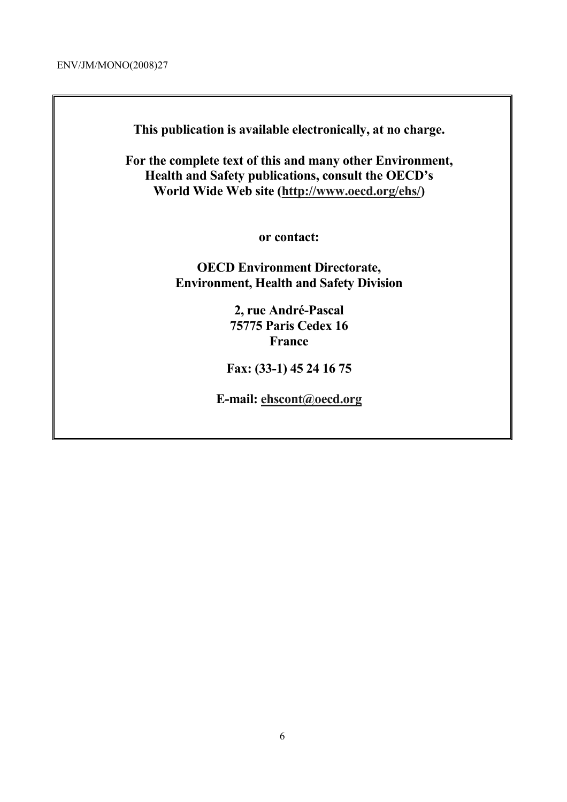**This publication is available electronically, at no charge.** 

**For the complete text of this and many other Environment, Health and Safety publications, consult the OECD's World Wide Web site (http://www.oecd.org/ehs/)** 

**or contact:** 

**OECD Environment Directorate, Environment, Health and Safety Division**

> **2, rue André-Pascal 75775 Paris Cedex 16 France**

**Fax: (33-1) 45 24 16 75** 

**E-mail: ehscont@oecd.org**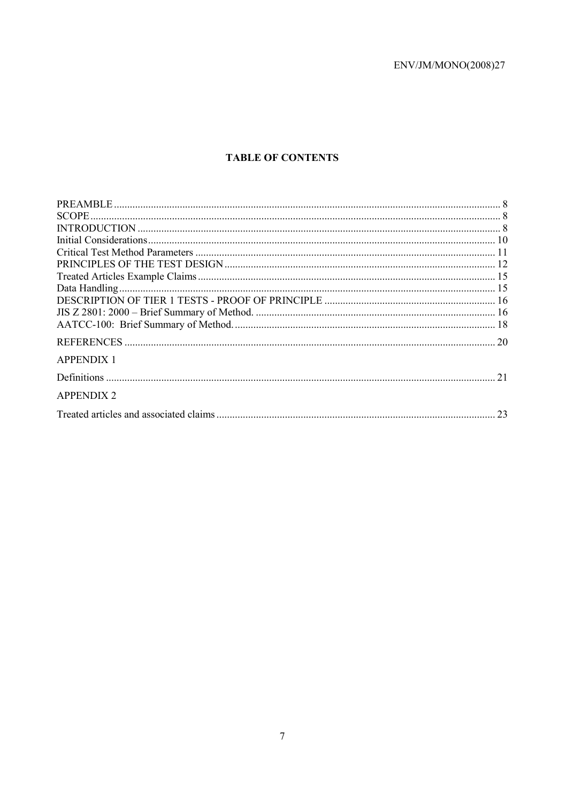# **TABLE OF CONTENTS**

| <b>APPENDIX 1</b> |
|-------------------|
|                   |
| <b>APPENDIX 2</b> |
|                   |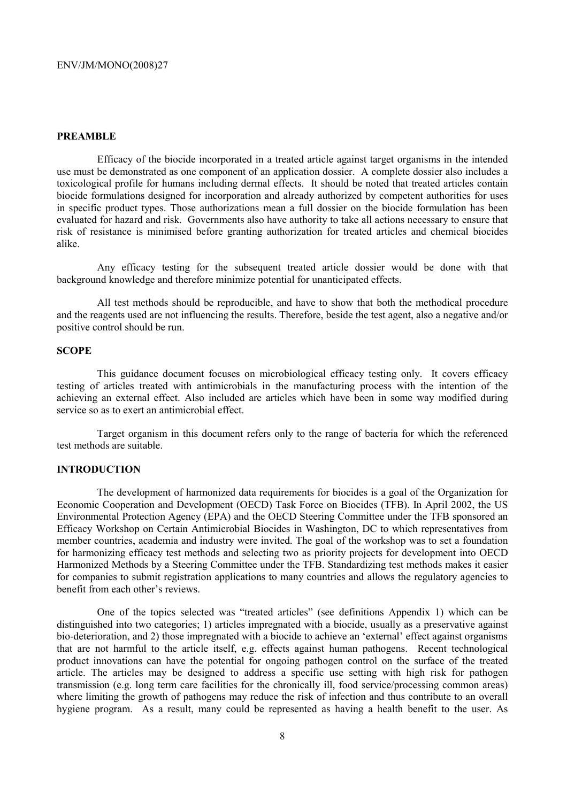#### **PREAMBLE**

 Efficacy of the biocide incorporated in a treated article against target organisms in the intended use must be demonstrated as one component of an application dossier. A complete dossier also includes a toxicological profile for humans including dermal effects. It should be noted that treated articles contain biocide formulations designed for incorporation and already authorized by competent authorities for uses in specific product types. Those authorizations mean a full dossier on the biocide formulation has been evaluated for hazard and risk. Governments also have authority to take all actions necessary to ensure that risk of resistance is minimised before granting authorization for treated articles and chemical biocides alike.

 Any efficacy testing for the subsequent treated article dossier would be done with that background knowledge and therefore minimize potential for unanticipated effects.

 All test methods should be reproducible, and have to show that both the methodical procedure and the reagents used are not influencing the results. Therefore, beside the test agent, also a negative and/or positive control should be run.

#### **SCOPE**

 This guidance document focuses on microbiological efficacy testing only. It covers efficacy testing of articles treated with antimicrobials in the manufacturing process with the intention of the achieving an external effect. Also included are articles which have been in some way modified during service so as to exert an antimicrobial effect.

 Target organism in this document refers only to the range of bacteria for which the referenced test methods are suitable.

#### **INTRODUCTION**

 The development of harmonized data requirements for biocides is a goal of the Organization for Economic Cooperation and Development (OECD) Task Force on Biocides (TFB). In April 2002, the US Environmental Protection Agency (EPA) and the OECD Steering Committee under the TFB sponsored an Efficacy Workshop on Certain Antimicrobial Biocides in Washington, DC to which representatives from member countries, academia and industry were invited. The goal of the workshop was to set a foundation for harmonizing efficacy test methods and selecting two as priority projects for development into OECD Harmonized Methods by a Steering Committee under the TFB. Standardizing test methods makes it easier for companies to submit registration applications to many countries and allows the regulatory agencies to benefit from each other's reviews.

 One of the topics selected was "treated articles" (see definitions Appendix 1) which can be distinguished into two categories; 1) articles impregnated with a biocide, usually as a preservative against bio-deterioration, and 2) those impregnated with a biocide to achieve an 'external' effect against organisms that are not harmful to the article itself, e.g. effects against human pathogens. Recent technological product innovations can have the potential for ongoing pathogen control on the surface of the treated article. The articles may be designed to address a specific use setting with high risk for pathogen transmission (e.g. long term care facilities for the chronically ill, food service/processing common areas) where limiting the growth of pathogens may reduce the risk of infection and thus contribute to an overall hygiene program. As a result, many could be represented as having a health benefit to the user. As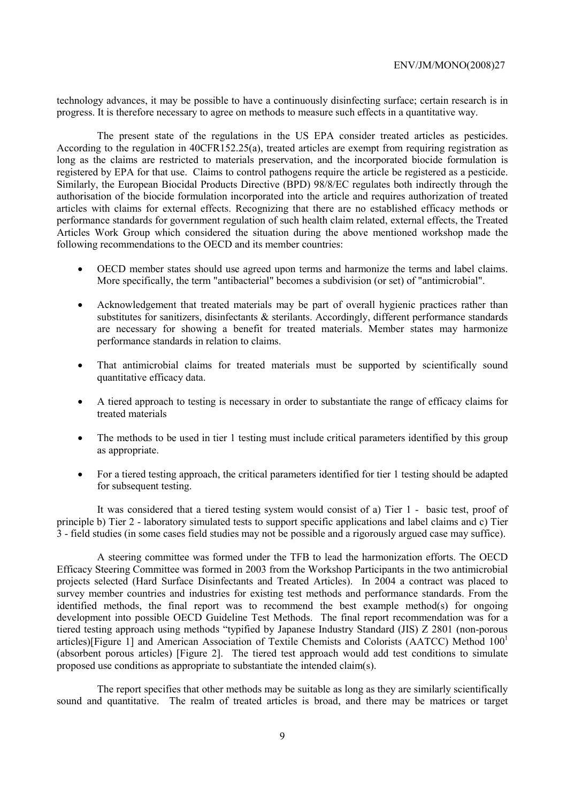technology advances, it may be possible to have a continuously disinfecting surface; certain research is in progress. It is therefore necessary to agree on methods to measure such effects in a quantitative way.

 The present state of the regulations in the US EPA consider treated articles as pesticides. According to the regulation in 40CFR152.25(a), treated articles are exempt from requiring registration as long as the claims are restricted to materials preservation, and the incorporated biocide formulation is registered by EPA for that use. Claims to control pathogens require the article be registered as a pesticide. Similarly, the European Biocidal Products Directive (BPD) 98/8/EC regulates both indirectly through the authorisation of the biocide formulation incorporated into the article and requires authorization of treated articles with claims for external effects. Recognizing that there are no established efficacy methods or performance standards for government regulation of such health claim related, external effects, the Treated Articles Work Group which considered the situation during the above mentioned workshop made the following recommendations to the OECD and its member countries:

- OECD member states should use agreed upon terms and harmonize the terms and label claims. More specifically, the term "antibacterial" becomes a subdivision (or set) of "antimicrobial".
- Acknowledgement that treated materials may be part of overall hygienic practices rather than substitutes for sanitizers, disinfectants & sterilants. Accordingly, different performance standards are necessary for showing a benefit for treated materials. Member states may harmonize performance standards in relation to claims.
- That antimicrobial claims for treated materials must be supported by scientifically sound quantitative efficacy data.
- A tiered approach to testing is necessary in order to substantiate the range of efficacy claims for treated materials
- The methods to be used in tier 1 testing must include critical parameters identified by this group as appropriate.
- For a tiered testing approach, the critical parameters identified for tier 1 testing should be adapted for subsequent testing.

 It was considered that a tiered testing system would consist of a) Tier 1 - basic test, proof of principle b) Tier 2 - laboratory simulated tests to support specific applications and label claims and c) Tier 3 - field studies (in some cases field studies may not be possible and a rigorously argued case may suffice).

 A steering committee was formed under the TFB to lead the harmonization efforts. The OECD Efficacy Steering Committee was formed in 2003 from the Workshop Participants in the two antimicrobial projects selected (Hard Surface Disinfectants and Treated Articles). In 2004 a contract was placed to survey member countries and industries for existing test methods and performance standards. From the identified methods, the final report was to recommend the best example method(s) for ongoing development into possible OECD Guideline Test Methods. The final report recommendation was for a tiered testing approach using methods "typified by Japanese Industry Standard (JIS) Z 2801 (non-porous articles)[Figure 1] and American Association of Textile Chemists and Colorists (AATCC) Method 1001 (absorbent porous articles) [Figure 2]. The tiered test approach would add test conditions to simulate proposed use conditions as appropriate to substantiate the intended claim(s).

 The report specifies that other methods may be suitable as long as they are similarly scientifically sound and quantitative. The realm of treated articles is broad, and there may be matrices or target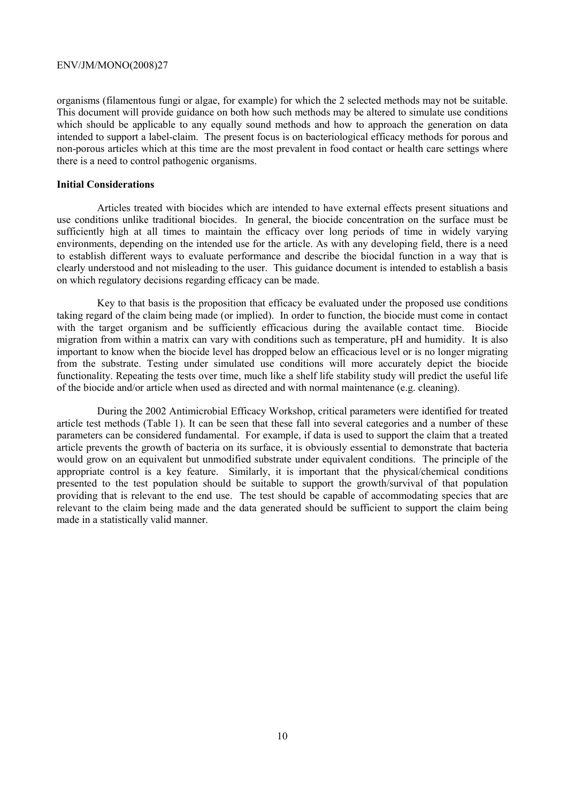organisms (filamentous fungi or algae, for example) for which the 2 selected methods may not be suitable. This document will provide guidance on both how such methods may be altered to simulate use conditions which should be applicable to any equally sound methods and how to approach the generation on data intended to support a label-claim. The present focus is on bacteriological efficacy methods for porous and non-porous articles which at this time are the most prevalent in food contact or health care settings where there is a need to control pathogenic organisms.

#### **Initial Considerations**

 Articles treated with biocides which are intended to have external effects present situations and use conditions unlike traditional biocides. In general, the biocide concentration on the surface must be sufficiently high at all times to maintain the efficacy over long periods of time in widely varying environments, depending on the intended use for the article. As with any developing field, there is a need to establish different ways to evaluate performance and describe the biocidal function in a way that is clearly understood and not misleading to the user. This guidance document is intended to establish a basis on which regulatory decisions regarding efficacy can be made.

 Key to that basis is the proposition that efficacy be evaluated under the proposed use conditions taking regard of the claim being made (or implied). In order to function, the biocide must come in contact with the target organism and be sufficiently efficacious during the available contact time. Biocide migration from within a matrix can vary with conditions such as temperature, pH and humidity. It is also important to know when the biocide level has dropped below an efficacious level or is no longer migrating from the substrate. Testing under simulated use conditions will more accurately depict the biocide functionality. Repeating the tests over time, much like a shelf life stability study will predict the useful life of the biocide and/or article when used as directed and with normal maintenance (e.g. cleaning).

 During the 2002 Antimicrobial Efficacy Workshop, critical parameters were identified for treated article test methods (Table 1). It can be seen that these fall into several categories and a number of these parameters can be considered fundamental. For example, if data is used to support the claim that a treated article prevents the growth of bacteria on its surface, it is obviously essential to demonstrate that bacteria would grow on an equivalent but unmodified substrate under equivalent conditions. The principle of the appropriate control is a key feature. Similarly, it is important that the physical/chemical conditions presented to the test population should be suitable to support the growth/survival of that population providing that is relevant to the end use. The test should be capable of accommodating species that are relevant to the claim being made and the data generated should be sufficient to support the claim being made in a statistically valid manner.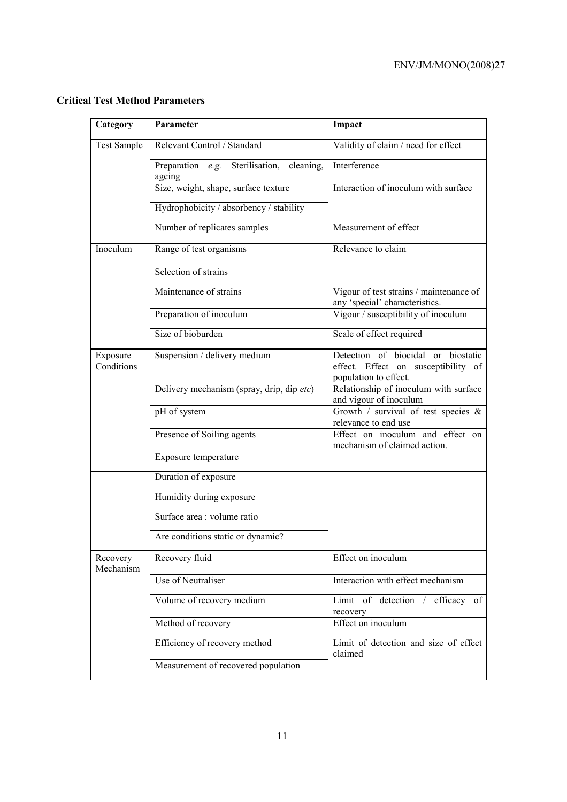|  |  |  | <b>Critical Test Method Parameters</b> |
|--|--|--|----------------------------------------|
|--|--|--|----------------------------------------|

| Category               | Parameter                                              | Impact                                                                                             |
|------------------------|--------------------------------------------------------|----------------------------------------------------------------------------------------------------|
| <b>Test Sample</b>     | Relevant Control / Standard                            | Validity of claim / need for effect                                                                |
|                        | Preparation e.g. Sterilisation,<br>cleaning,<br>ageing | Interference                                                                                       |
|                        | Size, weight, shape, surface texture                   | Interaction of inoculum with surface                                                               |
|                        | Hydrophobicity / absorbency / stability                |                                                                                                    |
|                        | Number of replicates samples                           | Measurement of effect                                                                              |
| Inoculum               | Range of test organisms                                | Relevance to claim                                                                                 |
|                        | Selection of strains                                   |                                                                                                    |
|                        | Maintenance of strains                                 | Vigour of test strains / maintenance of<br>any 'special' characteristics.                          |
|                        | Preparation of inoculum                                | Vigour / susceptibility of inoculum                                                                |
|                        | Size of bioburden                                      | Scale of effect required                                                                           |
| Exposure<br>Conditions | Suspension / delivery medium                           | Detection of biocidal or biostatic<br>effect. Effect on susceptibility of<br>population to effect. |
|                        | Delivery mechanism (spray, drip, dip etc)              | Relationship of inoculum with surface<br>and vigour of inoculum                                    |
|                        | pH of system                                           | Growth $\overline{\phantom{x}}$ survival of test species &<br>relevance to end use                 |
|                        | Presence of Soiling agents                             | Effect on inoculum and effect on<br>mechanism of claimed action.                                   |
|                        | Exposure temperature                                   |                                                                                                    |
|                        | Duration of exposure                                   |                                                                                                    |
|                        | Humidity during exposure                               |                                                                                                    |
|                        | Surface area : volume ratio                            |                                                                                                    |
|                        | Are conditions static or dynamic?                      |                                                                                                    |
| Recovery<br>Mechanism  | Recovery fluid                                         | Effect on inoculum                                                                                 |
|                        | Use of Neutraliser                                     | Interaction with effect mechanism                                                                  |
|                        | Volume of recovery medium                              | Limit of detection / efficacy of<br>recovery                                                       |
|                        | Method of recovery                                     | Effect on inoculum                                                                                 |
|                        | Efficiency of recovery method                          | Limit of detection and size of effect<br>claimed                                                   |
|                        | Measurement of recovered population                    |                                                                                                    |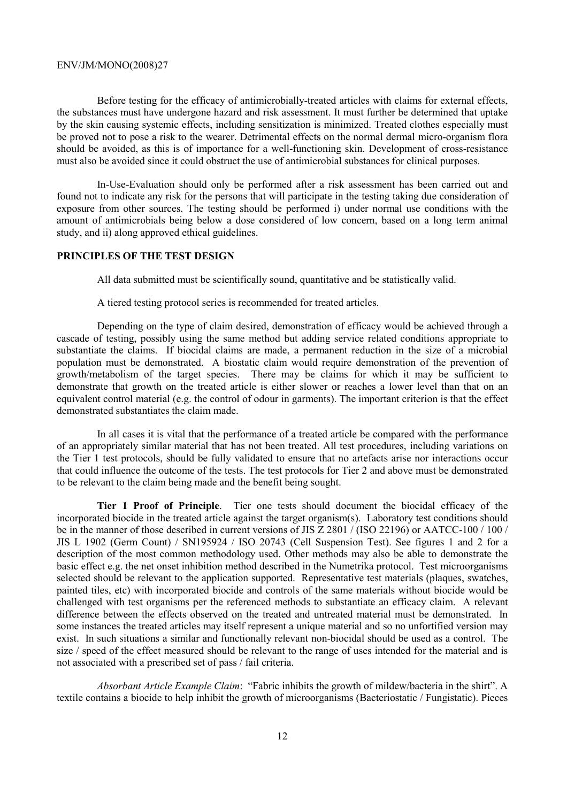Before testing for the efficacy of antimicrobially-treated articles with claims for external effects, the substances must have undergone hazard and risk assessment. It must further be determined that uptake by the skin causing systemic effects, including sensitization is minimized. Treated clothes especially must be proved not to pose a risk to the wearer. Detrimental effects on the normal dermal micro-organism flora should be avoided, as this is of importance for a well-functioning skin. Development of cross-resistance must also be avoided since it could obstruct the use of antimicrobial substances for clinical purposes.

 In-Use-Evaluation should only be performed after a risk assessment has been carried out and found not to indicate any risk for the persons that will participate in the testing taking due consideration of exposure from other sources. The testing should be performed i) under normal use conditions with the amount of antimicrobials being below a dose considered of low concern, based on a long term animal study, and ii) along approved ethical guidelines.

## **PRINCIPLES OF THE TEST DESIGN**

All data submitted must be scientifically sound, quantitative and be statistically valid.

A tiered testing protocol series is recommended for treated articles.

 Depending on the type of claim desired, demonstration of efficacy would be achieved through a cascade of testing, possibly using the same method but adding service related conditions appropriate to substantiate the claims. If biocidal claims are made, a permanent reduction in the size of a microbial population must be demonstrated. A biostatic claim would require demonstration of the prevention of growth/metabolism of the target species. There may be claims for which it may be sufficient to demonstrate that growth on the treated article is either slower or reaches a lower level than that on an equivalent control material (e.g. the control of odour in garments). The important criterion is that the effect demonstrated substantiates the claim made.

 In all cases it is vital that the performance of a treated article be compared with the performance of an appropriately similar material that has not been treated. All test procedures, including variations on the Tier 1 test protocols, should be fully validated to ensure that no artefacts arise nor interactions occur that could influence the outcome of the tests. The test protocols for Tier 2 and above must be demonstrated to be relevant to the claim being made and the benefit being sought.

 **Tier 1 Proof of Principle**. Tier one tests should document the biocidal efficacy of the incorporated biocide in the treated article against the target organism(s). Laboratory test conditions should be in the manner of those described in current versions of JIS Z 2801 / (ISO 22196) or AATCC-100 / 100 / JIS L 1902 (Germ Count) / SN195924 / ISO 20743 (Cell Suspension Test). See figures 1 and 2 for a description of the most common methodology used. Other methods may also be able to demonstrate the basic effect e.g. the net onset inhibition method described in the Numetrika protocol. Test microorganisms selected should be relevant to the application supported. Representative test materials (plaques, swatches, painted tiles, etc) with incorporated biocide and controls of the same materials without biocide would be challenged with test organisms per the referenced methods to substantiate an efficacy claim. A relevant difference between the effects observed on the treated and untreated material must be demonstrated. In some instances the treated articles may itself represent a unique material and so no unfortified version may exist. In such situations a similar and functionally relevant non-biocidal should be used as a control. The size / speed of the effect measured should be relevant to the range of uses intended for the material and is not associated with a prescribed set of pass / fail criteria.

 *Absorbant Article Example Claim*: "Fabric inhibits the growth of mildew/bacteria in the shirt". A textile contains a biocide to help inhibit the growth of microorganisms (Bacteriostatic / Fungistatic). Pieces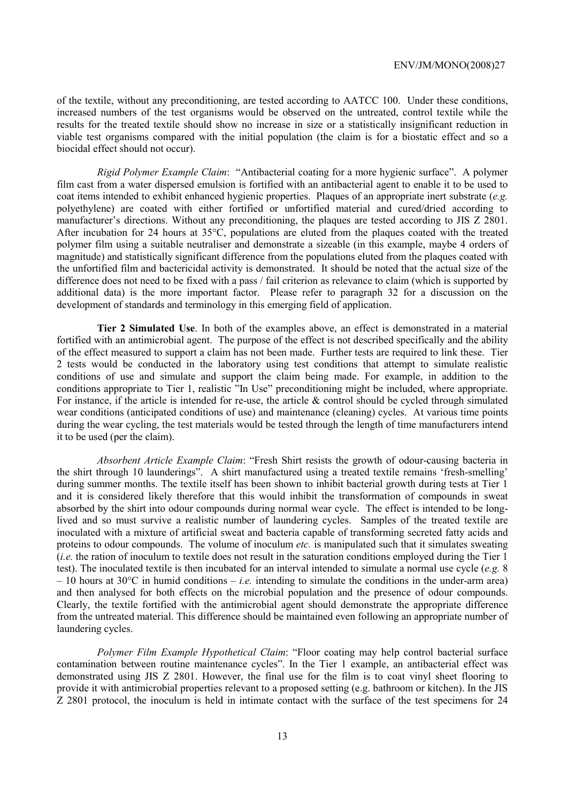of the textile, without any preconditioning, are tested according to AATCC 100. Under these conditions, increased numbers of the test organisms would be observed on the untreated, control textile while the results for the treated textile should show no increase in size or a statistically insignificant reduction in viable test organisms compared with the initial population (the claim is for a biostatic effect and so a biocidal effect should not occur).

 *Rigid Polymer Example Claim*: "Antibacterial coating for a more hygienic surface". A polymer film cast from a water dispersed emulsion is fortified with an antibacterial agent to enable it to be used to coat items intended to exhibit enhanced hygienic properties. Plaques of an appropriate inert substrate (*e.g.* polyethylene) are coated with either fortified or unfortified material and cured/dried according to manufacturer's directions. Without any preconditioning, the plaques are tested according to JIS Z 2801. After incubation for 24 hours at 35°C, populations are eluted from the plaques coated with the treated polymer film using a suitable neutraliser and demonstrate a sizeable (in this example, maybe 4 orders of magnitude) and statistically significant difference from the populations eluted from the plaques coated with the unfortified film and bactericidal activity is demonstrated. It should be noted that the actual size of the difference does not need to be fixed with a pass / fail criterion as relevance to claim (which is supported by additional data) is the more important factor. Please refer to paragraph 32 for a discussion on the development of standards and terminology in this emerging field of application.

 **Tier 2 Simulated Use**. In both of the examples above, an effect is demonstrated in a material fortified with an antimicrobial agent. The purpose of the effect is not described specifically and the ability of the effect measured to support a claim has not been made. Further tests are required to link these. Tier 2 tests would be conducted in the laboratory using test conditions that attempt to simulate realistic conditions of use and simulate and support the claim being made. For example, in addition to the conditions appropriate to Tier 1, realistic "In Use" preconditioning might be included, where appropriate. For instance, if the article is intended for re-use, the article & control should be cycled through simulated wear conditions (anticipated conditions of use) and maintenance (cleaning) cycles. At various time points during the wear cycling, the test materials would be tested through the length of time manufacturers intend it to be used (per the claim).

 *Absorbent Article Example Claim*: "Fresh Shirt resists the growth of odour-causing bacteria in the shirt through 10 launderings". A shirt manufactured using a treated textile remains 'fresh-smelling' during summer months. The textile itself has been shown to inhibit bacterial growth during tests at Tier 1 and it is considered likely therefore that this would inhibit the transformation of compounds in sweat absorbed by the shirt into odour compounds during normal wear cycle. The effect is intended to be longlived and so must survive a realistic number of laundering cycles. Samples of the treated textile are inoculated with a mixture of artificial sweat and bacteria capable of transforming secreted fatty acids and proteins to odour compounds. The volume of inoculum *etc.* is manipulated such that it simulates sweating (*i.e.* the ration of inoculum to textile does not result in the saturation conditions employed during the Tier 1 test). The inoculated textile is then incubated for an interval intended to simulate a normal use cycle (*e.g.* 8  $-10$  hours at 30 $^{\circ}$ C in humid conditions  $-i.e.$  intending to simulate the conditions in the under-arm area) and then analysed for both effects on the microbial population and the presence of odour compounds. Clearly, the textile fortified with the antimicrobial agent should demonstrate the appropriate difference from the untreated material. This difference should be maintained even following an appropriate number of laundering cycles.

 *Polymer Film Example Hypothetical Claim*: "Floor coating may help control bacterial surface contamination between routine maintenance cycles". In the Tier 1 example, an antibacterial effect was demonstrated using JIS Z 2801. However, the final use for the film is to coat vinyl sheet flooring to provide it with antimicrobial properties relevant to a proposed setting (e.g. bathroom or kitchen). In the JIS Z 2801 protocol, the inoculum is held in intimate contact with the surface of the test specimens for 24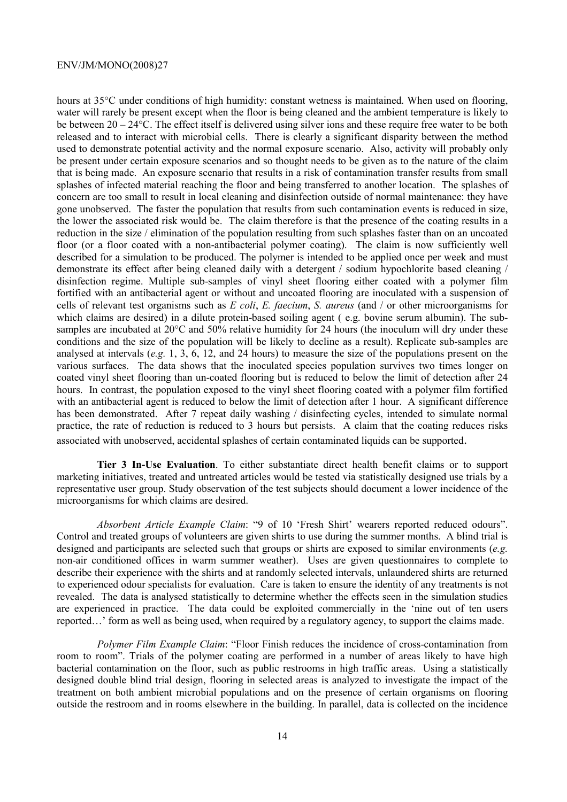hours at 35<sup>o</sup>C under conditions of high humidity: constant wetness is maintained. When used on flooring, water will rarely be present except when the floor is being cleaned and the ambient temperature is likely to be between 20 – 24°C. The effect itself is delivered using silver ions and these require free water to be both released and to interact with microbial cells. There is clearly a significant disparity between the method used to demonstrate potential activity and the normal exposure scenario. Also, activity will probably only be present under certain exposure scenarios and so thought needs to be given as to the nature of the claim that is being made. An exposure scenario that results in a risk of contamination transfer results from small splashes of infected material reaching the floor and being transferred to another location. The splashes of concern are too small to result in local cleaning and disinfection outside of normal maintenance: they have gone unobserved. The faster the population that results from such contamination events is reduced in size, the lower the associated risk would be. The claim therefore is that the presence of the coating results in a reduction in the size / elimination of the population resulting from such splashes faster than on an uncoated floor (or a floor coated with a non-antibacterial polymer coating). The claim is now sufficiently well described for a simulation to be produced. The polymer is intended to be applied once per week and must demonstrate its effect after being cleaned daily with a detergent / sodium hypochlorite based cleaning / disinfection regime. Multiple sub-samples of vinyl sheet flooring either coated with a polymer film fortified with an antibacterial agent or without and uncoated flooring are inoculated with a suspension of cells of relevant test organisms such as *E coli*, *E. faecium*, *S. aureus* (and / or other microorganisms for which claims are desired) in a dilute protein-based soiling agent ( e.g. bovine serum albumin). The subsamples are incubated at 20<sup>o</sup>C and 50% relative humidity for 24 hours (the inoculum will dry under these conditions and the size of the population will be likely to decline as a result). Replicate sub-samples are analysed at intervals (*e.g.* 1, 3, 6, 12, and 24 hours) to measure the size of the populations present on the various surfaces. The data shows that the inoculated species population survives two times longer on coated vinyl sheet flooring than un-coated flooring but is reduced to below the limit of detection after 24 hours. In contrast, the population exposed to the vinyl sheet flooring coated with a polymer film fortified with an antibacterial agent is reduced to below the limit of detection after 1 hour. A significant difference has been demonstrated. After 7 repeat daily washing / disinfecting cycles, intended to simulate normal practice, the rate of reduction is reduced to 3 hours but persists. A claim that the coating reduces risks associated with unobserved, accidental splashes of certain contaminated liquids can be supported.

 **Tier 3 In-Use Evaluation**. To either substantiate direct health benefit claims or to support marketing initiatives, treated and untreated articles would be tested via statistically designed use trials by a representative user group. Study observation of the test subjects should document a lower incidence of the microorganisms for which claims are desired.

 *Absorbent Article Example Claim*: "9 of 10 'Fresh Shirt' wearers reported reduced odours". Control and treated groups of volunteers are given shirts to use during the summer months. A blind trial is designed and participants are selected such that groups or shirts are exposed to similar environments (*e.g.* non-air conditioned offices in warm summer weather). Uses are given questionnaires to complete to describe their experience with the shirts and at randomly selected intervals, unlaundered shirts are returned to experienced odour specialists for evaluation. Care is taken to ensure the identity of any treatments is not revealed. The data is analysed statistically to determine whether the effects seen in the simulation studies are experienced in practice. The data could be exploited commercially in the 'nine out of ten users reported…' form as well as being used, when required by a regulatory agency, to support the claims made.

*Polymer Film Example Claim*: "Floor Finish reduces the incidence of cross-contamination from room to room". Trials of the polymer coating are performed in a number of areas likely to have high bacterial contamination on the floor, such as public restrooms in high traffic areas. Using a statistically designed double blind trial design, flooring in selected areas is analyzed to investigate the impact of the treatment on both ambient microbial populations and on the presence of certain organisms on flooring outside the restroom and in rooms elsewhere in the building. In parallel, data is collected on the incidence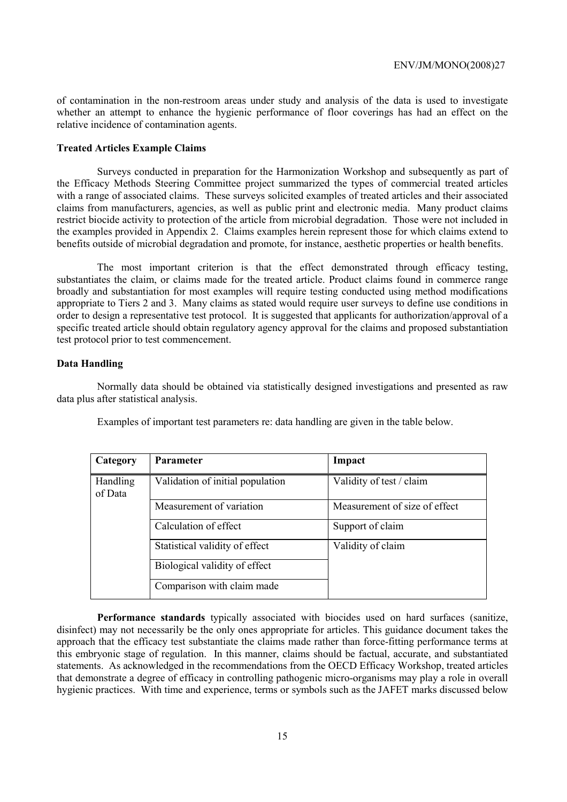of contamination in the non-restroom areas under study and analysis of the data is used to investigate whether an attempt to enhance the hygienic performance of floor coverings has had an effect on the relative incidence of contamination agents.

#### **Treated Articles Example Claims**

 Surveys conducted in preparation for the Harmonization Workshop and subsequently as part of the Efficacy Methods Steering Committee project summarized the types of commercial treated articles with a range of associated claims. These surveys solicited examples of treated articles and their associated claims from manufacturers, agencies, as well as public print and electronic media. Many product claims restrict biocide activity to protection of the article from microbial degradation. Those were not included in the examples provided in Appendix 2. Claims examples herein represent those for which claims extend to benefits outside of microbial degradation and promote, for instance, aesthetic properties or health benefits.

 The most important criterion is that the effect demonstrated through efficacy testing, substantiates the claim, or claims made for the treated article. Product claims found in commerce range broadly and substantiation for most examples will require testing conducted using method modifications appropriate to Tiers 2 and 3. Many claims as stated would require user surveys to define use conditions in order to design a representative test protocol. It is suggested that applicants for authorization/approval of a specific treated article should obtain regulatory agency approval for the claims and proposed substantiation test protocol prior to test commencement.

#### **Data Handling**

 Normally data should be obtained via statistically designed investigations and presented as raw data plus after statistical analysis.

| Category                   | <b>Parameter</b>                 | Impact                        |
|----------------------------|----------------------------------|-------------------------------|
| <b>Handling</b><br>of Data | Validation of initial population | Validity of test / claim      |
|                            | Measurement of variation         | Measurement of size of effect |
|                            | Calculation of effect            | Support of claim              |
|                            | Statistical validity of effect   | Validity of claim             |
|                            | Biological validity of effect    |                               |
|                            | Comparison with claim made       |                               |

Examples of important test parameters re: data handling are given in the table below.

 **Performance standards** typically associated with biocides used on hard surfaces (sanitize, disinfect) may not necessarily be the only ones appropriate for articles. This guidance document takes the approach that the efficacy test substantiate the claims made rather than force-fitting performance terms at this embryonic stage of regulation. In this manner, claims should be factual, accurate, and substantiated statements. As acknowledged in the recommendations from the OECD Efficacy Workshop, treated articles that demonstrate a degree of efficacy in controlling pathogenic micro-organisms may play a role in overall hygienic practices. With time and experience, terms or symbols such as the JAFET marks discussed below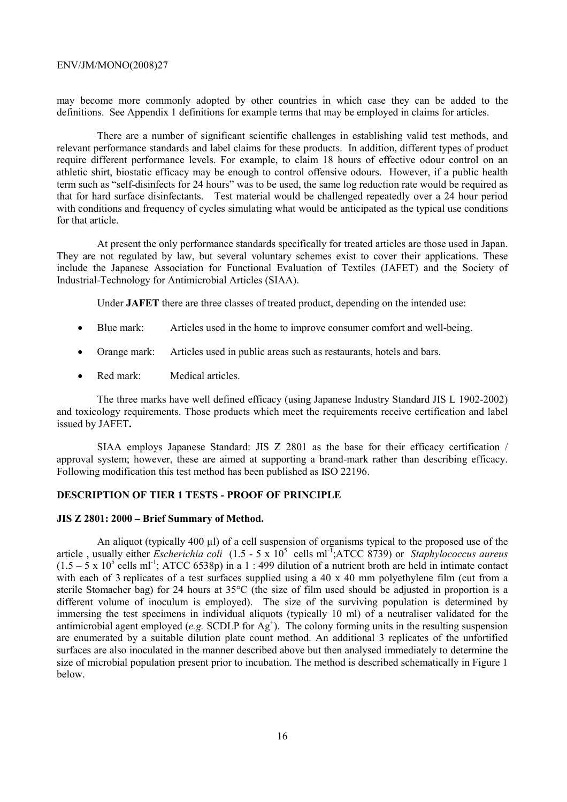may become more commonly adopted by other countries in which case they can be added to the definitions. See Appendix 1 definitions for example terms that may be employed in claims for articles.

 There are a number of significant scientific challenges in establishing valid test methods, and relevant performance standards and label claims for these products. In addition, different types of product require different performance levels. For example, to claim 18 hours of effective odour control on an athletic shirt, biostatic efficacy may be enough to control offensive odours. However, if a public health term such as "self-disinfects for 24 hours" was to be used, the same log reduction rate would be required as that for hard surface disinfectants. Test material would be challenged repeatedly over a 24 hour period with conditions and frequency of cycles simulating what would be anticipated as the typical use conditions for that article.

 At present the only performance standards specifically for treated articles are those used in Japan. They are not regulated by law, but several voluntary schemes exist to cover their applications. These include the Japanese Association for Functional Evaluation of Textiles (JAFET) and the Society of Industrial-Technology for Antimicrobial Articles (SIAA).

Under **JAFET** there are three classes of treated product, depending on the intended use:

- Blue mark: Articles used in the home to improve consumer comfort and well-being.
- Orange mark: Articles used in public areas such as restaurants, hotels and bars.
- Red mark: Medical articles.

 The three marks have well defined efficacy (using Japanese Industry Standard JIS L 1902-2002) and toxicology requirements. Those products which meet the requirements receive certification and label issued by JAFET**.** 

 SIAA employs Japanese Standard: JIS Z 2801 as the base for their efficacy certification / approval system; however, these are aimed at supporting a brand-mark rather than describing efficacy. Following modification this test method has been published as ISO 22196.

#### **DESCRIPTION OF TIER 1 TESTS - PROOF OF PRINCIPLE**

#### **JIS Z 2801: 2000 – Brief Summary of Method.**

An aliquot (typically 400 µl) of a cell suspension of organisms typical to the proposed use of the article, usually either *Escherichia coli* (1.5 - 5 x 10<sup>5</sup> cells ml<sup>-T</sup>;ATCC 8739) or *Staphylococcus aureus*  $(1.5 - 5 \times 10^5 \text{ cells m}^{-1})$ ; ATCC 6538p) in a 1 : 499 dilution of a nutrient broth are held in intimate contact with each of 3 replicates of a test surfaces supplied using a 40 x 40 mm polyethylene film (cut from a sterile Stomacher bag) for 24 hours at 35°C (the size of film used should be adjusted in proportion is a different volume of inoculum is employed). The size of the surviving population is determined by immersing the test specimens in individual aliquots (typically 10 ml) of a neutraliser validated for the antimicrobial agent employed (*e.g.* SCDLP for  $\overrightarrow{Ag}^+$ ). The colony forming units in the resulting suspension are enumerated by a suitable dilution plate count method. An additional 3 replicates of the unfortified surfaces are also inoculated in the manner described above but then analysed immediately to determine the size of microbial population present prior to incubation. The method is described schematically in Figure 1 below.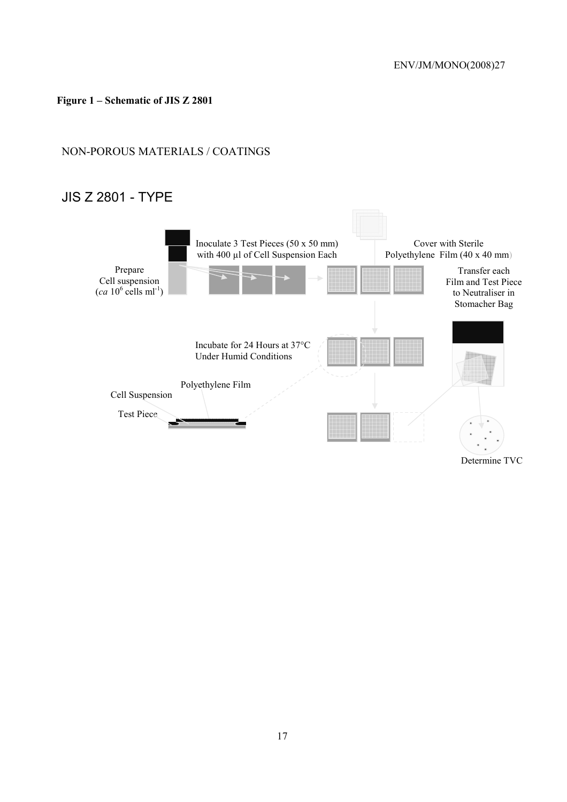# **Figure 1 – Schematic of JIS Z 2801**

# NON-POROUS MATERIALS / COATINGS

# JIS Z 2801 - TYPE



Determine TVC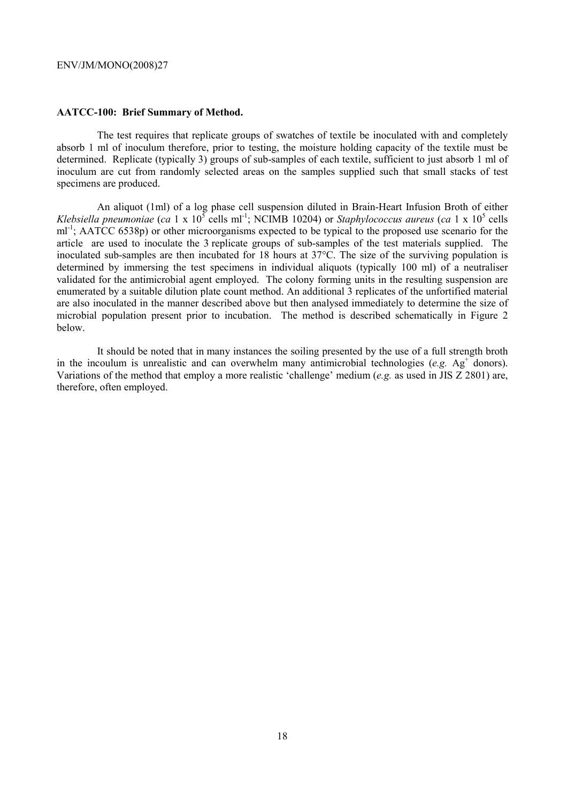#### **AATCC-100: Brief Summary of Method.**

 The test requires that replicate groups of swatches of textile be inoculated with and completely absorb 1 ml of inoculum therefore, prior to testing, the moisture holding capacity of the textile must be determined. Replicate (typically 3) groups of sub-samples of each textile, sufficient to just absorb 1 ml of inoculum are cut from randomly selected areas on the samples supplied such that small stacks of test specimens are produced.

 An aliquot (1ml) of a log phase cell suspension diluted in Brain-Heart Infusion Broth of either *Klebsiella pneumoniae* (*ca* 1 x  $10^5$  cells ml<sup>-1</sup>; NCIMB 10204) or *Staphylococcus aureus* (*ca* 1 x  $10^5$  cells ml<sup>-1</sup>; AATCC 6538p) or other microorganisms expected to be typical to the proposed use scenario for the article are used to inoculate the 3 replicate groups of sub-samples of the test materials supplied. The inoculated sub-samples are then incubated for 18 hours at 37°C. The size of the surviving population is determined by immersing the test specimens in individual aliquots (typically 100 ml) of a neutraliser validated for the antimicrobial agent employed. The colony forming units in the resulting suspension are enumerated by a suitable dilution plate count method. An additional 3 replicates of the unfortified material are also inoculated in the manner described above but then analysed immediately to determine the size of microbial population present prior to incubation. The method is described schematically in Figure 2 below.

 It should be noted that in many instances the soiling presented by the use of a full strength broth in the incoulum is unrealistic and can overwhelm many antimicrobial technologies  $(e.g. Ag<sup>+</sup>$  donors). Variations of the method that employ a more realistic 'challenge' medium (*e.g.* as used in JIS Z 2801) are, therefore, often employed.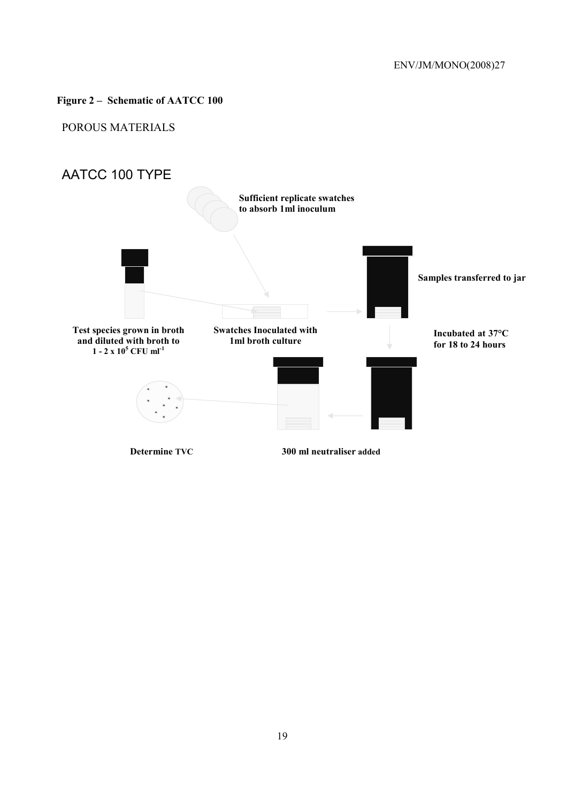# **Figure 2 – Schematic of AATCC 100**

# POROUS MATERIALS

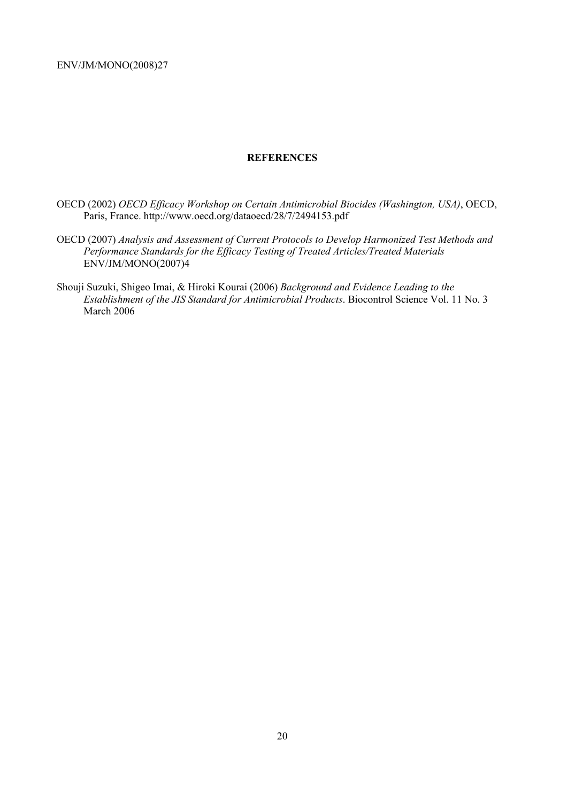#### **REFERENCES**

- OECD (2002) *OECD Efficacy Workshop on Certain Antimicrobial Biocides (Washington, USA)*, OECD, Paris, France. http://www.oecd.org/dataoecd/28/7/2494153.pdf
- OECD (2007) *Analysis and Assessment of Current Protocols to Develop Harmonized Test Methods and Performance Standards for the Efficacy Testing of Treated Articles/Treated Materials* ENV/JM/MONO(2007)4
- Shouji Suzuki, Shigeo Imai, & Hiroki Kourai (2006) *Background and Evidence Leading to the Establishment of the JIS Standard for Antimicrobial Products*. Biocontrol Science Vol. 11 No. 3 March 2006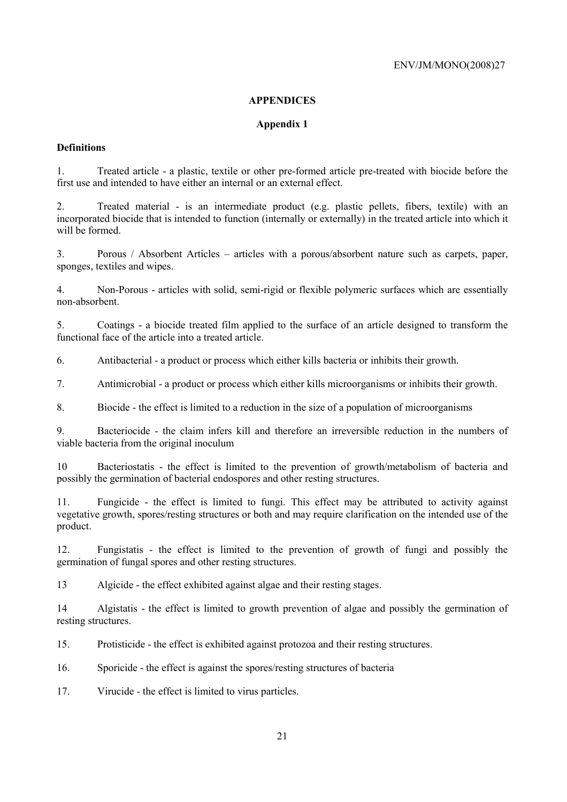## **APPENDICES**

# **Appendix 1**

# **Definitions**

1. Treated article - a plastic, textile or other pre-formed article pre-treated with biocide before the first use and intended to have either an internal or an external effect.

2. Treated material - is an intermediate product (e.g. plastic pellets, fibers, textile) with an incorporated biocide that is intended to function (internally or externally) in the treated article into which it will be formed.

3. Porous / Absorbent Articles – articles with a porous/absorbent nature such as carpets, paper, sponges, textiles and wipes.

4. Non-Porous - articles with solid, semi-rigid or flexible polymeric surfaces which are essentially non-absorbent.

5. Coatings - a biocide treated film applied to the surface of an article designed to transform the functional face of the article into a treated article.

6. Antibacterial - a product or process which either kills bacteria or inhibits their growth.

7. Antimicrobial - a product or process which either kills microorganisms or inhibits their growth.

8. Biocide - the effect is limited to a reduction in the size of a population of microorganisms

9. Bacteriocide - the claim infers kill and therefore an irreversible reduction in the numbers of viable bacteria from the original inoculum

10 Bacteriostatis - the effect is limited to the prevention of growth/metabolism of bacteria and possibly the germination of bacterial endospores and other resting structures.

11. Fungicide - the effect is limited to fungi. This effect may be attributed to activity against vegetative growth, spores/resting structures or both and may require clarification on the intended use of the product.

12. Fungistatis - the effect is limited to the prevention of growth of fungi and possibly the germination of fungal spores and other resting structures.

13 Algicide - the effect exhibited against algae and their resting stages.

14 Algistatis - the effect is limited to growth prevention of algae and possibly the germination of resting structures.

15. Protisticide - the effect is exhibited against protozoa and their resting structures.

16. Sporicide - the effect is against the spores/resting structures of bacteria

17. Virucide - the effect is limited to virus particles.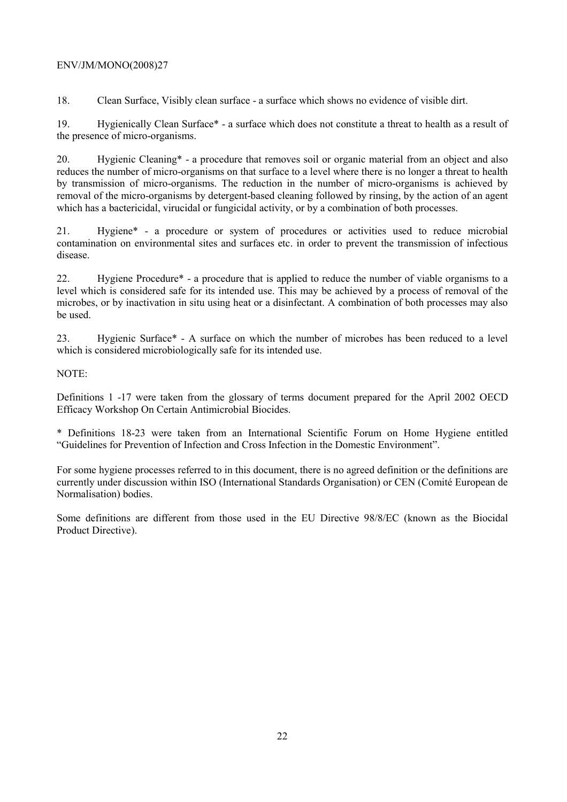18. Clean Surface, Visibly clean surface - a surface which shows no evidence of visible dirt.

19. Hygienically Clean Surface\* - a surface which does not constitute a threat to health as a result of the presence of micro-organisms.

20. Hygienic Cleaning\* - a procedure that removes soil or organic material from an object and also reduces the number of micro-organisms on that surface to a level where there is no longer a threat to health by transmission of micro-organisms. The reduction in the number of micro-organisms is achieved by removal of the micro-organisms by detergent-based cleaning followed by rinsing, by the action of an agent which has a bactericidal, virucidal or fungicidal activity, or by a combination of both processes.

21. Hygiene\* - a procedure or system of procedures or activities used to reduce microbial contamination on environmental sites and surfaces etc. in order to prevent the transmission of infectious disease.

22. Hygiene Procedure\* - a procedure that is applied to reduce the number of viable organisms to a level which is considered safe for its intended use. This may be achieved by a process of removal of the microbes, or by inactivation in situ using heat or a disinfectant. A combination of both processes may also be used.

23. Hygienic Surface\* - A surface on which the number of microbes has been reduced to a level which is considered microbiologically safe for its intended use.

NOTE:

Definitions 1 -17 were taken from the glossary of terms document prepared for the April 2002 OECD Efficacy Workshop On Certain Antimicrobial Biocides.

\* Definitions 18-23 were taken from an International Scientific Forum on Home Hygiene entitled "Guidelines for Prevention of Infection and Cross Infection in the Domestic Environment".

For some hygiene processes referred to in this document, there is no agreed definition or the definitions are currently under discussion within ISO (International Standards Organisation) or CEN (Comité European de Normalisation) bodies.

Some definitions are different from those used in the EU Directive 98/8/EC (known as the Biocidal Product Directive).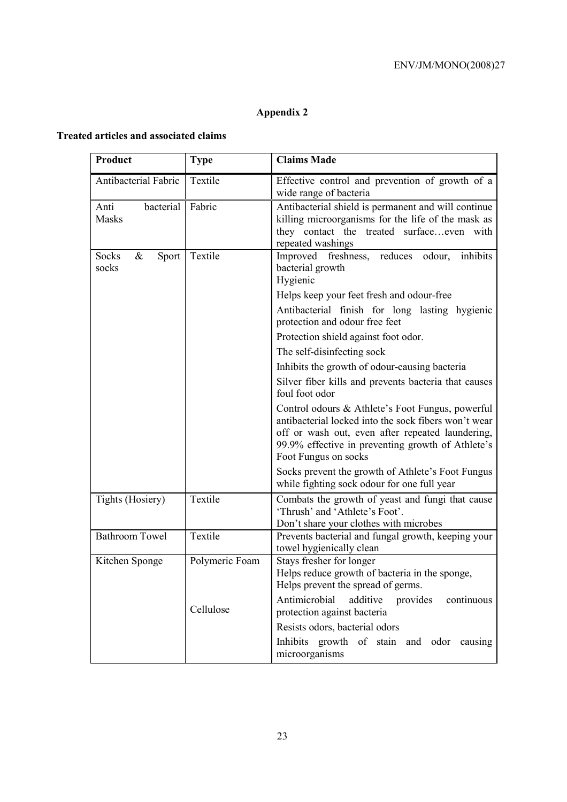# **Appendix 2**

# **Treated articles and associated claims**

| Product                                | <b>Type</b>    | <b>Claims Made</b>                                                                                                                                                                                                                        |
|----------------------------------------|----------------|-------------------------------------------------------------------------------------------------------------------------------------------------------------------------------------------------------------------------------------------|
| Antibacterial Fabric                   | Textile        | Effective control and prevention of growth of a<br>wide range of bacteria                                                                                                                                                                 |
| bacterial<br>Anti<br><b>Masks</b>      | Fabric         | Antibacterial shield is permanent and will continue<br>killing microorganisms for the life of the mask as<br>they contact the treated surfaceeven with<br>repeated washings                                                               |
| Socks<br>$\&$<br><b>Sport</b><br>socks | Textile        | Improved freshness, reduces odour,<br>inhibits<br>bacterial growth<br>Hygienic                                                                                                                                                            |
|                                        |                | Helps keep your feet fresh and odour-free                                                                                                                                                                                                 |
|                                        |                | Antibacterial finish for long lasting hygienic<br>protection and odour free feet                                                                                                                                                          |
|                                        |                | Protection shield against foot odor.                                                                                                                                                                                                      |
|                                        |                | The self-disinfecting sock                                                                                                                                                                                                                |
|                                        |                | Inhibits the growth of odour-causing bacteria                                                                                                                                                                                             |
|                                        |                | Silver fiber kills and prevents bacteria that causes<br>foul foot odor                                                                                                                                                                    |
|                                        |                | Control odours & Athlete's Foot Fungus, powerful<br>antibacterial locked into the sock fibers won't wear<br>off or wash out, even after repeated laundering,<br>99.9% effective in preventing growth of Athlete's<br>Foot Fungus on socks |
|                                        |                | Socks prevent the growth of Athlete's Foot Fungus<br>while fighting sock odour for one full year                                                                                                                                          |
| Tights (Hosiery)                       | Textile        | Combats the growth of yeast and fungi that cause<br>'Thrush' and 'Athlete's Foot'.<br>Don't share your clothes with microbes                                                                                                              |
| <b>Bathroom Towel</b>                  | Textile        | Prevents bacterial and fungal growth, keeping your<br>towel hygienically clean                                                                                                                                                            |
| Kitchen Sponge                         | Polymeric Foam | Stays fresher for longer<br>Helps reduce growth of bacteria in the sponge,<br>Helps prevent the spread of germs.                                                                                                                          |
|                                        | Cellulose      | Antimicrobial<br>additive<br>provides<br>continuous<br>protection against bacteria                                                                                                                                                        |
|                                        |                | Resists odors, bacterial odors                                                                                                                                                                                                            |
|                                        |                | Inhibits growth of stain and odor causing<br>microorganisms                                                                                                                                                                               |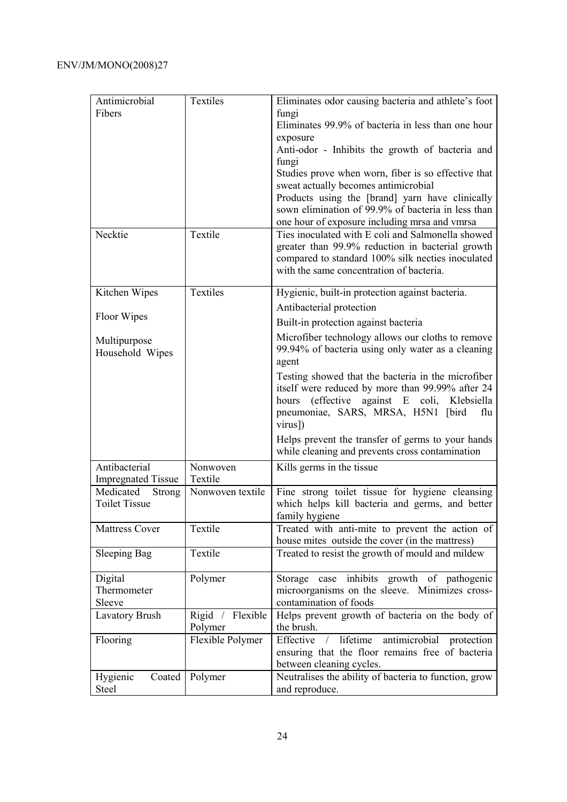| Antimicrobial             | Textiles         | Eliminates odor causing bacteria and athlete's foot                                                 |
|---------------------------|------------------|-----------------------------------------------------------------------------------------------------|
| Fibers                    |                  | fungi                                                                                               |
|                           |                  | Eliminates 99.9% of bacteria in less than one hour                                                  |
|                           |                  | exposure                                                                                            |
|                           |                  | Anti-odor - Inhibits the growth of bacteria and                                                     |
|                           |                  | fungi                                                                                               |
|                           |                  | Studies prove when worn, fiber is so effective that                                                 |
|                           |                  | sweat actually becomes antimicrobial                                                                |
|                           |                  | Products using the [brand] yarn have clinically                                                     |
|                           |                  | sown elimination of 99.9% of bacteria in less than                                                  |
|                           |                  | one hour of exposure including mrsa and vmrsa                                                       |
| Necktie                   | Textile          | Ties inoculated with E coli and Salmonella showed                                                   |
|                           |                  | greater than 99.9% reduction in bacterial growth                                                    |
|                           |                  | compared to standard 100% silk necties inoculated<br>with the same concentration of bacteria.       |
|                           |                  |                                                                                                     |
| Kitchen Wipes             | Textiles         | Hygienic, built-in protection against bacteria.                                                     |
|                           |                  | Antibacterial protection                                                                            |
| Floor Wipes               |                  | Built-in protection against bacteria                                                                |
| Multipurpose              |                  | Microfiber technology allows our cloths to remove                                                   |
| Household Wipes           |                  | 99.94% of bacteria using only water as a cleaning                                                   |
|                           |                  | agent                                                                                               |
|                           |                  | Testing showed that the bacteria in the microfiber                                                  |
|                           |                  | itself were reduced by more than 99.99% after 24                                                    |
|                           |                  | (effective against E coli, Klebsiella<br>hours                                                      |
|                           |                  | pneumoniae, SARS, MRSA, H5N1 [bird<br>flu                                                           |
|                           |                  | virus])                                                                                             |
|                           |                  | Helps prevent the transfer of germs to your hands                                                   |
|                           |                  | while cleaning and prevents cross contamination                                                     |
| Antibacterial             | Nonwoven         | Kills germs in the tissue                                                                           |
| <b>Impregnated Tissue</b> | Textile          |                                                                                                     |
| Medicated<br>Strong       | Nonwoven textile | Fine strong toilet tissue for hygiene cleansing                                                     |
| <b>Toilet Tissue</b>      |                  | which helps kill bacteria and germs, and better                                                     |
|                           |                  | family hygiene                                                                                      |
| <b>Mattress Cover</b>     | Textile          | Treated with anti-mite to prevent the action of                                                     |
|                           | Textile          | house mites outside the cover (in the mattress)<br>Treated to resist the growth of mould and mildew |
| <b>Sleeping Bag</b>       |                  |                                                                                                     |
| Digital                   | Polymer          | case inhibits growth of pathogenic<br>Storage                                                       |
| Thermometer               |                  | microorganisms on the sleeve. Minimizes cross-                                                      |
| Sleeve                    |                  | contamination of foods                                                                              |
| <b>Lavatory Brush</b>     | Rigid / Flexible | Helps prevent growth of bacteria on the body of                                                     |
|                           | Polymer          | the brush.                                                                                          |
| Flooring                  | Flexible Polymer | Effective / lifetime<br>antimicrobial protection                                                    |
|                           |                  | ensuring that the floor remains free of bacteria                                                    |
|                           |                  | between cleaning cycles.                                                                            |
| Hygienic<br>Coated        | Polymer          | Neutralises the ability of bacteria to function, grow                                               |
| Steel                     |                  | and reproduce.                                                                                      |